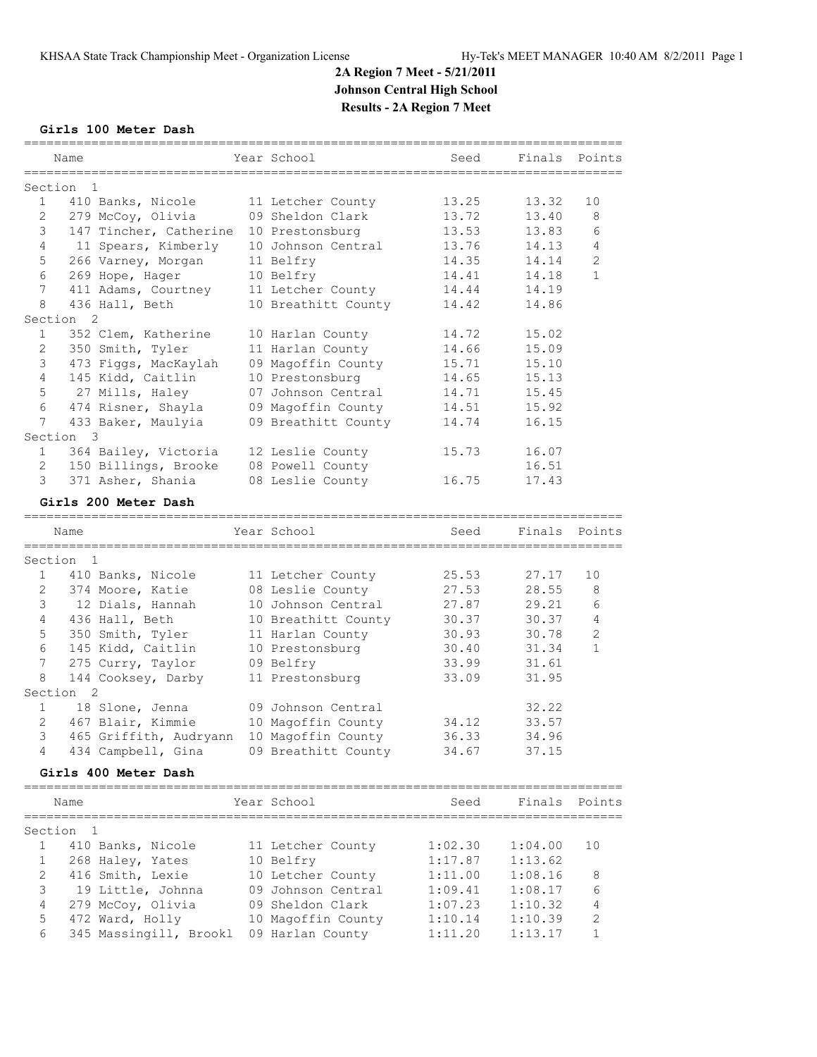#### **Girls 100 Meter Dash**

|                | Name                                         | Year School                            | Seed               | Finals             | Points            |
|----------------|----------------------------------------------|----------------------------------------|--------------------|--------------------|-------------------|
|                | Section<br>- 1                               |                                        |                    |                    |                   |
| $\mathbf{1}$   | 410 Banks, Nicole                            | 11 Letcher County                      | 13.25              | 13.32              | 10                |
| $\mathbf{2}$   | 279 McCoy, Olivia                            | 09 Sheldon Clark                       | 13.72              | 13.40              | 8                 |
| 3              | 147 Tincher, Catherine                       | 10 Prestonsburg                        | 13.53              | 13.83              | 6                 |
| 4              | 11 Spears, Kimberly                          | 10 Johnson Central                     | 13.76              | 14.13              | 4                 |
| 5              | 266 Varney, Morgan                           | 11 Belfry                              | 14.35              | 14.14              | 2                 |
| 6              | 269 Hope, Hager                              | 10 Belfry                              | 14.41              | 14.18              | $\mathbf{1}$      |
| 7              | 411 Adams, Courtney                          | 11 Letcher County                      | 14.44              | 14.19              |                   |
| 8              | 436 Hall, Beth                               | 10 Breathitt County                    | 14.42              | 14.86              |                   |
|                | Section<br>$\overline{2}$                    |                                        |                    |                    |                   |
| $\mathbf{1}$   | 352 Clem, Katherine                          | 10 Harlan County                       | 14.72              | 15.02              |                   |
| 2              | 350 Smith, Tyler                             | 11 Harlan County                       | 14.66              | 15.09              |                   |
| 3              | 473 Figgs, MacKaylah                         | 09 Magoffin County                     | 15.71              | 15.10              |                   |
| $\overline{4}$ | 145 Kidd, Caitlin                            | 10 Prestonsburg                        | 14.65              | 15.13              |                   |
| 5              | 27 Mills, Haley                              | 07 Johnson Central                     | 14.71              | 15.45              |                   |
|                |                                              |                                        |                    |                    |                   |
| 6<br>7         | 474 Risner, Shayla                           | 09 Magoffin County                     | 14.51              | 15.92              |                   |
|                | 433 Baker, Maulyia<br>Section 3              | 09 Breathitt County                    | 14.74              | 16.15              |                   |
| $\mathbf{1}$   |                                              | 12 Leslie County                       | 15.73              | 16.07              |                   |
| 2              | 364 Bailey, Victoria<br>150 Billings, Brooke |                                        |                    | 16.51              |                   |
| 3              |                                              | 08 Powell County                       | 16.75              | 17.43              |                   |
|                | 371 Asher, Shania                            | 08 Leslie County                       |                    |                    |                   |
|                | Girls 200 Meter Dash                         |                                        |                    |                    |                   |
|                | Name                                         | Year School                            | Seed               | Finals             | Points            |
|                |                                              |                                        |                    |                    |                   |
|                | Section<br>1                                 |                                        |                    |                    |                   |
| 1              | 410 Banks, Nicole                            | 11 Letcher County                      | 25.53              | 27.17              | 10                |
| $\overline{2}$ | 374 Moore, Katie                             | 08 Leslie County                       | 27.53              | 28.55              | 8                 |
| 3              | 12 Dials, Hannah                             | 10 Johnson Central                     | 27.87              | 29.21              | 6                 |
| $\overline{4}$ | 436 Hall, Beth                               | 10 Breathitt County                    | 30.37              | 30.37              | 4                 |
| 5              | 350 Smith, Tyler                             | 11 Harlan County                       | 30.93              | 30.78              | $\mathbf{2}$      |
| 6              | 145 Kidd, Caitlin                            | 10 Prestonsburg                        | 30.40              | 31.34              | $\mathbf{1}$      |
| 7              | 275 Curry, Taylor                            | 09 Belfry                              | 33.99              | 31.61              |                   |
| 8              | 144 Cooksey, Darby                           | 11 Prestonsburg                        | 33.09              | 31.95              |                   |
|                | Section <sub>2</sub>                         |                                        |                    |                    |                   |
| $\mathbf{1}$   | 18 Slone, Jenna                              | 09 Johnson Central                     |                    | 32.22              |                   |
| $\overline{2}$ | 467 Blair, Kimmie                            | 10 Magoffin County                     | 34.12              | 33.57              |                   |
|                | 3 465 Griffith, Audryann 10 Magoffin County  |                                        | 36.33              | 34.96              |                   |
| 4              | 434 Campbell, Gina 09 Breathitt County       |                                        | 34.67              | 37.15              |                   |
|                | Girls 400 Meter Dash                         |                                        |                    |                    |                   |
|                |                                              |                                        |                    |                    |                   |
|                |                                              |                                        |                    |                    |                   |
|                | Name                                         | Year School                            | Seed               | Finals Points      |                   |
|                |                                              |                                        |                    |                    |                   |
| $\mathbf{1}$   | Section 1                                    |                                        | 1:02.30            |                    | 10                |
| 1              | 410 Banks, Nicole                            | 11 Letcher County                      |                    | 1:04.00            |                   |
|                | 268 Haley, Yates                             | 10 Belfry                              | 1:17.87            | 1:13.62            |                   |
| $\mathbf{2}$   | 416 Smith, Lexie                             | 10 Letcher County                      | 1:11.00            | 1:08.16            | 8                 |
| 3              | 19 Little, Johnna                            | 09 Johnson Central                     | 1:09.41            | 1:08.17            | 6                 |
| 4              | 279 McCoy, Olivia                            | 09 Sheldon Clark                       | 1:07.23            | 1:10.32            | 4                 |
| 5<br>6         | 472 Ward, Holly<br>345 Massingill, Brookl    | 10 Magoffin County<br>09 Harlan County | 1:10.14<br>1:11.20 | 1:10.39<br>1:13.17 | 2<br>$\mathbf{1}$ |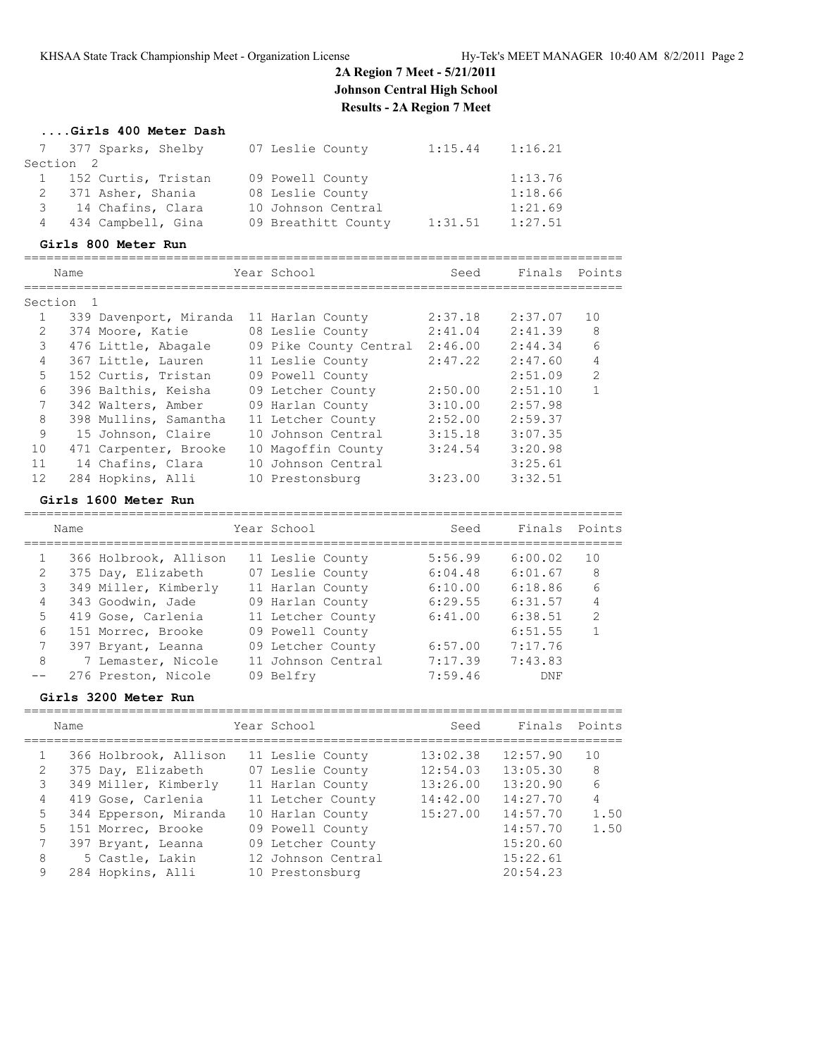## **....Girls 400 Meter Dash**

|               | 7 377 Sparks, Shelby  | 07 Leslie County    | $1:15.44$ $1:16.21$ |         |
|---------------|-----------------------|---------------------|---------------------|---------|
|               | Section <sub>2</sub>  |                     |                     |         |
|               | 1 152 Curtis, Tristan | 09 Powell County    |                     | 1:13.76 |
|               | 2 371 Asher, Shania   | 08 Leslie County    |                     | 1:18.66 |
| $\mathcal{B}$ | 14 Chafins, Clara     | 10 Johnson Central  |                     | 1:21.69 |
|               | 4 434 Campbell, Gina  | 09 Breathitt County | 1:31.51             | 1:27.51 |

### **Girls 800 Meter Run**

|    | Name                 |                        | Year School            | Seed    | Finals Points |                |
|----|----------------------|------------------------|------------------------|---------|---------------|----------------|
|    | Section <sub>1</sub> |                        |                        |         |               |                |
|    |                      | 339 Davenport, Miranda | 11 Harlan County       | 2:37.18 | 2:37.07       | 10             |
| 2  |                      | 374 Moore, Katie       | 08 Leslie County       | 2:41.04 | 2:41.39       | 8              |
| 3  |                      | 476 Little, Abagale    | 09 Pike County Central | 2:46.00 | 2:44.34       | 6              |
| 4  |                      | 367 Little, Lauren     | 11 Leslie County       | 2:47.22 | 2:47.60       | 4              |
| 5  |                      | 152 Curtis, Tristan    | 09 Powell County       |         | 2:51.09       | $\overline{2}$ |
| 6  |                      | 396 Balthis, Keisha    | 09 Letcher County      | 2:50.00 | 2:51.10       |                |
| 7  |                      | 342 Walters, Amber     | 09 Harlan County       | 3:10.00 | 2:57.98       |                |
| 8  |                      | 398 Mullins, Samantha  | 11 Letcher County      | 2:52.00 | 2:59.37       |                |
| 9  |                      | 15 Johnson, Claire     | 10 Johnson Central     | 3:15.18 | 3:07.35       |                |
| 10 |                      | 471 Carpenter, Brooke  | 10 Magoffin County     | 3:24.54 | 3:20.98       |                |
| 11 |                      | 14 Chafins, Clara      | 10 Johnson Central     |         | 3:25.61       |                |
| 12 |                      | 284 Hopkins, Alli      | 10 Prestonsburg        | 3:23.00 | 3:32.51       |                |

### **Girls 1600 Meter Run**

|   | Name                  | Year School        | Seed    | Finals  | Points |
|---|-----------------------|--------------------|---------|---------|--------|
|   | 366 Holbrook, Allison | 11 Leslie County   | 5:56.99 | 6:00.02 | 10     |
| 2 | 375 Day, Elizabeth    | 07 Leslie County   | 6:04.48 | 6:01.67 | 8      |
| 3 | 349 Miller, Kimberly  | 11 Harlan County   | 6:10.00 | 6:18.86 | 6      |
| 4 | 343 Goodwin, Jade     | 09 Harlan County   | 6:29.55 | 6:31.57 | 4      |
| 5 | 419 Gose, Carlenia    | 11 Letcher County  | 6:41.00 | 6:38.51 | 2      |
| 6 | 151 Morrec, Brooke    | 09 Powell County   |         | 6:51.55 |        |
|   | 397 Bryant, Leanna    | 09 Letcher County  | 6:57.00 | 7:17.76 |        |
| 8 | 7 Lemaster, Nicole    | 11 Johnson Central | 7:17.39 | 7:43.83 |        |
|   | 276 Preston, Nicole   | 09 Belfry          | 7:59.46 | DNF     |        |
|   |                       |                    |         |         |        |

### **Girls 3200 Meter Run**

|   | Name                  | Year School        | Seed     | Finals Points |      |
|---|-----------------------|--------------------|----------|---------------|------|
|   | 366 Holbrook, Allison | 11 Leslie County   | 13:02.38 | 12:57.90      | 10   |
| 2 | 375 Day, Elizabeth    | 07 Leslie County   | 12:54.03 | 13:05.30      | 8    |
| 3 | 349 Miller, Kimberly  | 11 Harlan County   | 13:26.00 | 13:20.90      | 6    |
| 4 | 419 Gose, Carlenia    | 11 Letcher County  | 14:42.00 | 14:27.70      | 4    |
| 5 | 344 Epperson, Miranda | 10 Harlan County   | 15:27.00 | 14:57.70      | 1.50 |
| 5 | 151 Morrec, Brooke    | 09 Powell County   |          | 14:57.70      | 1.50 |
| 7 | 397 Bryant, Leanna    | 09 Letcher County  |          | 15:20.60      |      |
| 8 | 5 Castle, Lakin       | 12 Johnson Central |          | 15:22.61      |      |
| 9 | 284 Hopkins, Alli     | 10 Prestonsburg    |          | 20:54.23      |      |
|   |                       |                    |          |               |      |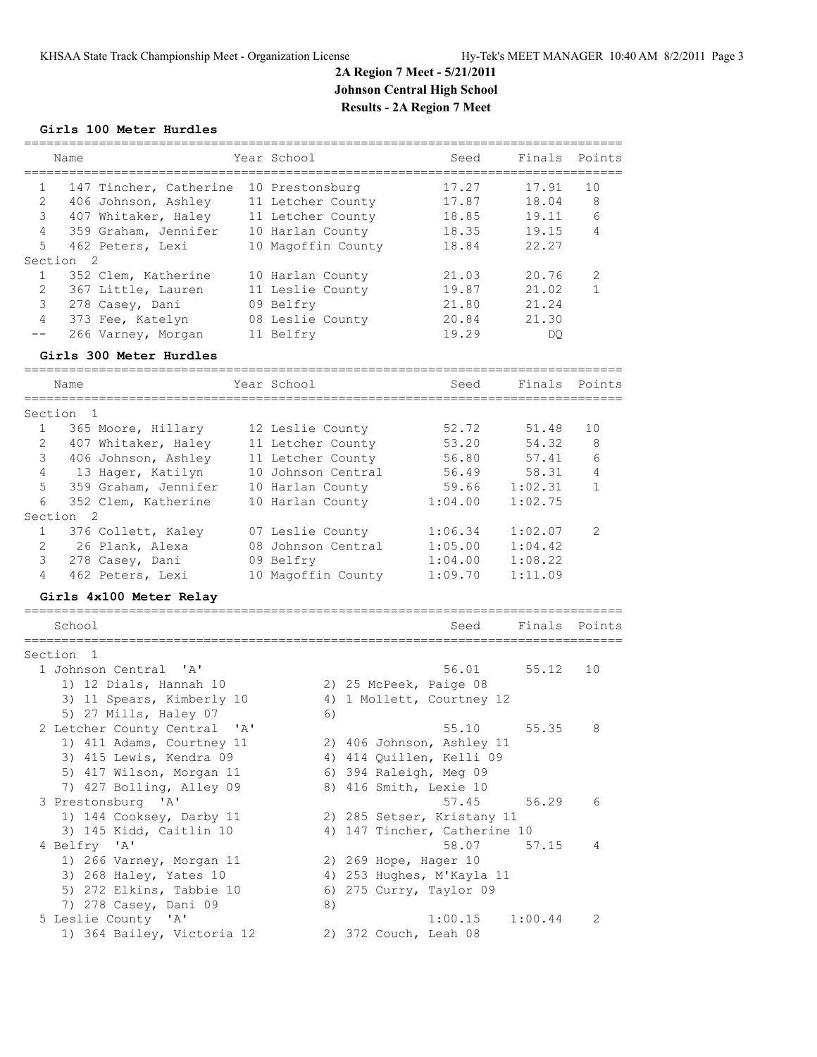### **Girls 100 Meter Hurdles**

|         | Name                   | Year School        | Seed  | Finals Points |    |
|---------|------------------------|--------------------|-------|---------------|----|
|         | 147 Tincher, Catherine | 10 Prestonsburg    | 17.27 | 17.91         | 10 |
| 2       | 406 Johnson, Ashley    | 11 Letcher County  | 17.87 | 18.04         | 8  |
| 3       | 407 Whitaker, Haley    | 11 Letcher County  | 18.85 | 19.11         | 6  |
| 4       | 359 Graham, Jennifer   | 10 Harlan County   | 18.35 | 19.15         | 4  |
| 5       | 462 Peters, Lexi       | 10 Magoffin County | 18.84 | 22.27         |    |
| Section | - 2                    |                    |       |               |    |
|         | 352 Clem, Katherine    | 10 Harlan County   | 21.03 | 20.76         | 2  |
| 2       | 367 Little, Lauren     | 11 Leslie County   | 19.87 | 21.02         |    |
| 3       | 278 Casey, Dani        | 09 Belfry          | 21.80 | 21.24         |    |
| 4       | 373 Fee, Katelyn       | 08 Leslie County   | 20.84 | 21.30         |    |
|         | 266 Varney, Morgan     | 11 Belfry          | 19.29 | DO            |    |

#### **Girls 300 Meter Hurdles**

### ================================================================================ Name The Year School Seed Finals Points ================================================================================ Section 1 1 365 Moore, Hillary 12 Leslie County 52.72 51.48 10 2 407 Whitaker, Haley 11 Letcher County 53.20 54.32 8 3 406 Johnson, Ashley 11 Letcher County 56.80 57.41 6 4 13 Hager, Katilyn 10 Johnson Central 56.49 58.31 4 5 359 Graham, Jennifer 10 Harlan County 59.66 1:02.31 1 6 352 Clem, Katherine 10 Harlan County 1:04.00 1:02.75 Section 2 1 376 Collett, Kaley 07 Leslie County 1:06.34 1:02.07 2 2 26 Plank, Alexa 08 Johnson Central 1:05.00 1:04.42 3 278 Casey, Dani 09 Belfry 1:04.00 1:08.22 4 462 Peters, Lexi 10 Magoffin County 1:09.70 1:11.09

#### **Girls 4x100 Meter Relay**

| School                       |    | Seed                         | Finals Points |    |
|------------------------------|----|------------------------------|---------------|----|
| Section 1                    |    |                              |               |    |
| 1 Johnson Central 'A'        |    | 56.01 55.12                  |               | 10 |
| 1) 12 Dials, Hannah 10       |    | 2) 25 McPeek, Paige 08       |               |    |
| 3) 11 Spears, Kimberly 10    |    | 4) 1 Mollett, Courtney 12    |               |    |
| 5) 27 Mills, Haley 07        | 6) |                              |               |    |
| 2 Letcher County Central 'A' |    | 55.10 55.35                  |               | 8  |
| 1) 411 Adams, Courtney 11    |    | 2) 406 Johnson, Ashley 11    |               |    |
| 3) 415 Lewis, Kendra 09      |    | 4) 414 Quillen, Kelli 09     |               |    |
| 5) 417 Wilson, Morgan 11     |    | 6) 394 Raleigh, Meg 09       |               |    |
| 7) 427 Bolling, Alley 09     |    | 8) 416 Smith, Lexie 10       |               |    |
| 3 Prestonsburg 'A'           |    | 57.45 56.29                  |               | 6  |
| 1) 144 Cooksey, Darby 11     |    | 2) 285 Setser, Kristany 11   |               |    |
| 3) 145 Kidd, Caitlin 10      |    | 4) 147 Tincher, Catherine 10 |               |    |
| 4 Belfry 'A'                 |    | 58.07 57.15                  |               | 4  |
| 1) 266 Varney, Morgan 11     |    | 2) 269 Hope, Hager 10        |               |    |
| 3) 268 Haley, Yates 10       |    | 4) 253 Hughes, M'Kayla 11    |               |    |
| 5) 272 Elkins, Tabbie 10     |    | 6) 275 Curry, Taylor 09      |               |    |
| 7) 278 Casey, Dani 09        | 8) |                              |               |    |
| 5 Leslie County 'A'          |    | 1:00.15                      | 1:00.44       | 2  |
| 1) 364 Bailey, Victoria 12   |    | 2) 372 Couch, Leah 08        |               |    |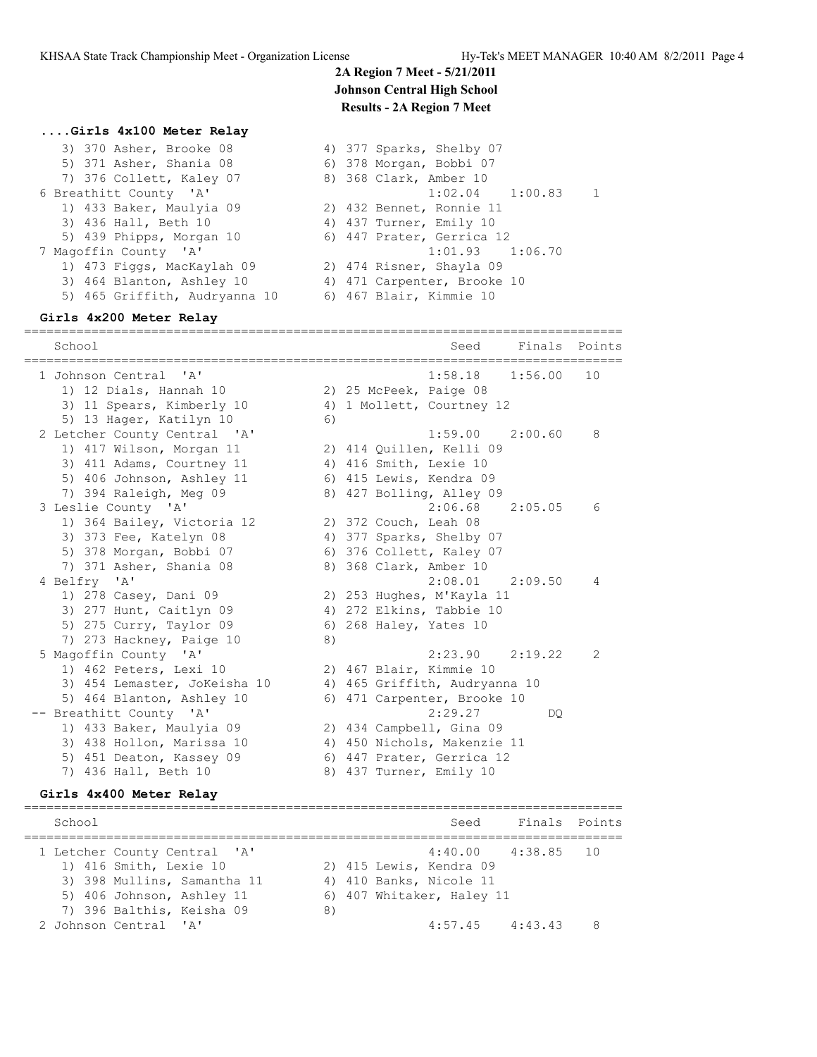### **....Girls 4x100 Meter Relay**

| 3) 370 Asher, Brooke 08<br>5) 371 Asher, Shania 08<br>7) 376 Collett, Kaley 07 | 4) 377 Sparks, Shelby 07<br>6) 378 Morgan, Bobbi 07<br>8) 368 Clark, Amber 10 |
|--------------------------------------------------------------------------------|-------------------------------------------------------------------------------|
| 6 Breathitt County 'A'                                                         | $1:02.04$ $1:00.83$                                                           |
| 1) 433 Baker, Maulyia 09                                                       | 2) 432 Bennet, Ronnie 11                                                      |
| 3) 436 Hall, Beth 10                                                           | 4) 437 Turner, Emily 10                                                       |
| 5) 439 Phipps, Morgan 10                                                       | 6) 447 Prater, Gerrica 12                                                     |
| 7 Magoffin County 'A'                                                          | $1:01.93$ $1:06.70$                                                           |
| 1) 473 Figgs, MacKaylah 09                                                     | 2) 474 Risner, Shayla 09                                                      |
| 3) 464 Blanton, Ashley 10                                                      | 4) 471 Carpenter, Brooke 10                                                   |
| 5) 465 Griffith, Audryanna 10                                                  | 6) 467 Blair, Kimmie 10                                                       |

#### **Girls 4x200 Meter Relay**

================================================================================ School School Seed Finals Points ================================================================================ 1 Johnson Central 'A' 1:58.18 1:56.00 10 1) 12 Dials, Hannah 10 2) 25 McPeek, Paige 08 3) 11 Spears, Kimberly 10 4) 1 Mollett, Courtney 12 5) 13 Hager, Katilyn 10 6) 2 Letcher County Central 'A' 1:59.00 2:00.60 8 1) 417 Wilson, Morgan 11 2) 414 Quillen, Kelli 09 3) 411 Adams, Courtney 11 416 Smith, Lexie 10 5) 406 Johnson, Ashley 11 6) 415 Lewis, Kendra 09 7) 394 Raleigh, Meg 09 8) 427 Bolling, Alley 09 3 Leslie County 'A' 2:06.68 2:05.05 6 1) 364 Bailey, Victoria 12 2) 372 Couch, Leah 08 3) 373 Fee, Katelyn 08 4) 377 Sparks, Shelby 07 5) 378 Morgan, Bobbi 07 (6) 376 Collett, Kaley 07 7) 371 Asher, Shania 08 8) 368 Clark, Amber 10 4 Belfry 'A' 2:08.01 2:09.50 4 1) 278 Casey, Dani 09 2) 253 Hughes, M'Kayla 11 3) 277 Hunt, Caitlyn 09 4) 272 Elkins, Tabbie 10 5) 275 Curry, Taylor 09 6) 268 Haley, Yates 10 7) 273 Hackney, Paige 10 8) 5 Magoffin County 'A' 2:23.90 2:19.22 2 1) 462 Peters, Lexi 10 2) 467 Blair, Kimmie 10 3) 454 Lemaster, JoKeisha 10 4) 465 Griffith, Audryanna 10 5) 464 Blanton, Ashley 10 6) 471 Carpenter, Brooke 10 -- Breathitt County 'A' 2:29.27 DQ 1) 433 Baker, Maulyia 09 2) 434 Campbell, Gina 09 3) 438 Hollon, Marissa 10 4) 450 Nichols, Makenzie 11 5) 451 Deaton, Kassey 09 6) 447 Prater, Gerrica 12 7) 436 Hall, Beth 10 8) 437 Turner, Emily 10

### **Girls 4x400 Meter Relay**

| School |                              |    |  | Seed                      | Finals Points |   |
|--------|------------------------------|----|--|---------------------------|---------------|---|
|        | 1 Letcher County Central 'A' |    |  | $4:40.00$ $4:38.85$ 10    |               |   |
|        | 1) 416 Smith, Lexie 10       |    |  | 2) 415 Lewis, Kendra 09   |               |   |
|        | 3) 398 Mullins, Samantha 11  |    |  | 4) 410 Banks, Nicole 11   |               |   |
|        | 5) 406 Johnson, Ashley 11    |    |  | 6) 407 Whitaker, Haley 11 |               |   |
|        | 7) 396 Balthis, Keisha 09    | 8) |  |                           |               |   |
|        | 2 Johnson Central 'A'        |    |  | 4:57.45                   | 4:43.43       | 8 |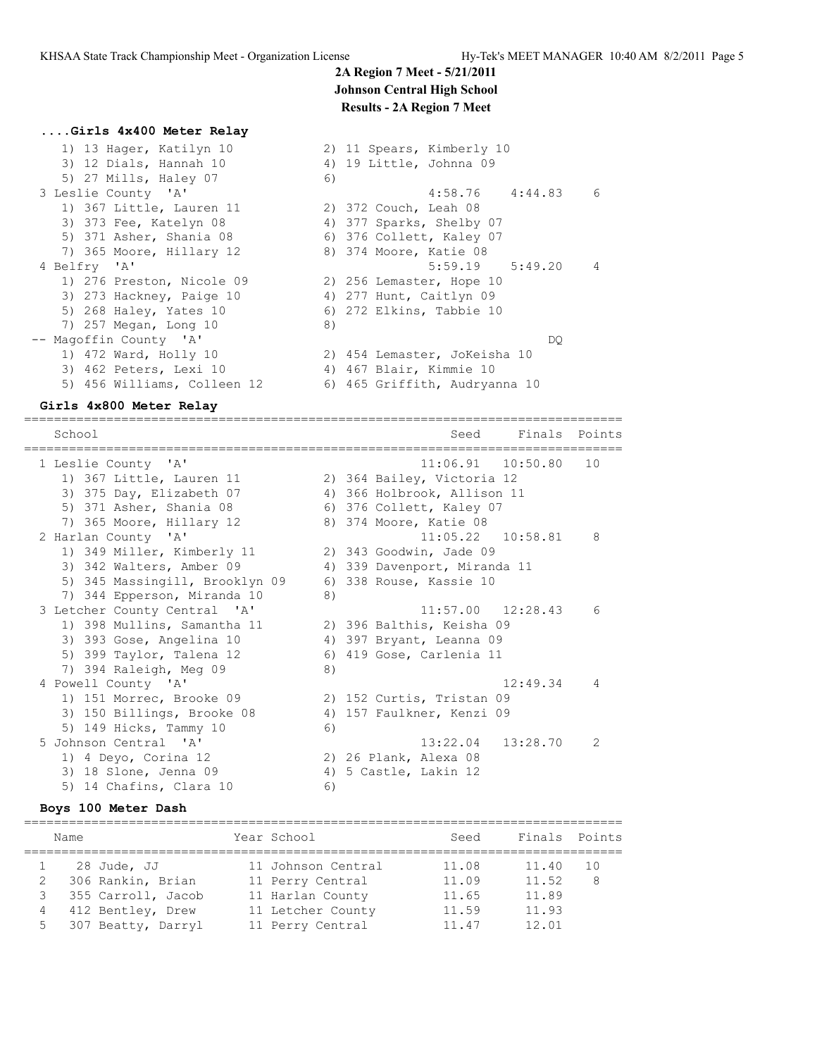# **....Girls 4x400 Meter Relay**

 1) 13 Hager, Katilyn 10 2) 11 Spears, Kimberly 10 3) 12 Dials, Hannah 10 4) 19 Little, Johnna 09 5) 27 Mills, Haley 07 6) 3 Leslie County 'A' 4:58.76 4:44.83 6 1) 367 Little, Lauren 11 2) 372 Couch, Leah 08 3) 373 Fee, Katelyn 08 4) 377 Sparks, Shelby 07 5) 371 Asher, Shania 08 6) 376 Collett, Kaley 07 7) 365 Moore, Hillary 12 8) 374 Moore, Katie 08 4 Belfry 'A' 5:59.19 5:49.20 4 1) 276 Preston, Nicole 09 2) 256 Lemaster, Hope 10 3) 273 Hackney, Paige 10 4) 277 Hunt, Caitlyn 09 5) 268 Haley, Yates 10 6) 272 Elkins, Tabbie 10 7) 257 Megan, Long 10 8) -- Magoffin County 'A' DQ 1) 472 Ward, Holly 10 2) 454 Lemaster, JoKeisha 10 3) 462 Peters, Lexi 10 4) 467 Blair, Kimmie 10 5) 456 Williams, Colleen 12 6) 465 Griffith, Audryanna 10

### **Girls 4x800 Meter Relay**

 School Seed Finals Points ================================================================================ 1 Leslie County 'A' 11:06.91 10:50.80 10 1) 367 Little, Lauren 11 2) 364 Bailey, Victoria 12 3) 375 Day, Elizabeth 07 4) 366 Holbrook, Allison 11 5) 371 Asher, Shania 08 6) 376 Collett, Kaley 07 7) 365 Moore, Hillary 12 8) 374 Moore, Katie 08 2 Harlan County 'A' 11:05.22 10:58.81 8 1) 349 Miller, Kimberly 11 2) 343 Goodwin, Jade 09 3) 342 Walters, Amber 09 4) 339 Davenport, Miranda 11 5) 345 Massingill, Brooklyn 09 6) 338 Rouse, Kassie 10 7) 344 Epperson, Miranda 10 8) 3 Letcher County Central 'A' 11:57.00 12:28.43 6 1) 398 Mullins, Samantha 11 2) 396 Balthis, Keisha 09 3) 393 Gose, Angelina 10 4) 397 Bryant, Leanna 09 5) 399 Taylor, Talena 12 6) 419 Gose, Carlenia 11 7) 394 Raleigh, Meg 09 8) 4 Powell County 'A' 12:49.34 4 1) 151 Morrec, Brooke 09 2) 152 Curtis, Tristan 09 3) 150 Billings, Brooke 08 4) 157 Faulkner, Kenzi 09 5) 149 Hicks, Tammy 10 6) 5 Johnson Central 'A' 13:22.04 13:28.70 2 1) 4 Deyo, Corina 12 2) 26 Plank, Alexa 08 3) 18 Slone, Jenna 09 4) 5 Castle, Lakin 12 5) 14 Chafins, Clara 10 (6)

================================================================================

#### **Boys 100 Meter Dash**

|    | Name               | Year School        | Seed  | Finals Points |    |
|----|--------------------|--------------------|-------|---------------|----|
|    | 28 Jude, JJ        | 11 Johnson Central | 11.08 | 11.40         | 10 |
|    | 306 Rankin, Brian  | 11 Perry Central   | 11.09 | 11.52         | 8  |
|    | 355 Carroll, Jacob | 11 Harlan County   | 11.65 | 11.89         |    |
| 4  | 412 Bentley, Drew  | 11 Letcher County  | 11.59 | 11.93         |    |
| 5. | 307 Beatty, Darryl | 11 Perry Central   | 11.47 | 12.01         |    |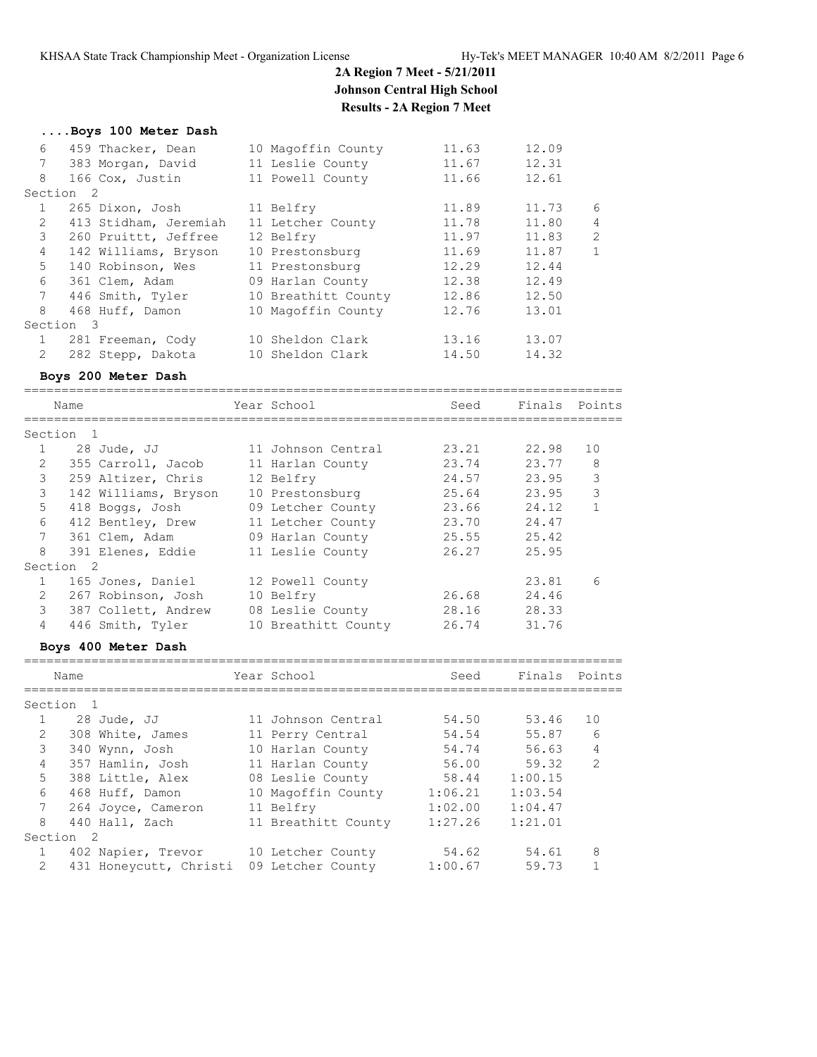|                | Boys 100 Meter Dash   |                     |       |       |                |
|----------------|-----------------------|---------------------|-------|-------|----------------|
| 6              | 459 Thacker, Dean     | 10 Magoffin County  | 11.63 | 12.09 |                |
| 7              | 383 Morgan, David     | 11 Leslie County    | 11.67 | 12.31 |                |
| 8              | 166 Cox, Justin       | 11 Powell County    | 11.66 | 12.61 |                |
|                | Section <sub>2</sub>  |                     |       |       |                |
| $\mathbf{1}$   | 265 Dixon, Josh       | 11 Belfry           | 11.89 | 11.73 | 6              |
| $\overline{2}$ | 413 Stidham, Jeremiah | 11 Letcher County   | 11.78 | 11.80 | $\overline{4}$ |
| 3              | 260 Pruittt, Jeffree  | 12 Belfry           | 11.97 | 11.83 | 2              |
| $\overline{4}$ | 142 Williams, Bryson  | 10 Prestonsburg     | 11.69 | 11.87 | $\mathbf{1}$   |
| 5              | 140 Robinson, Wes     | 11 Prestonsburg     | 12.29 | 12.44 |                |
| 6              | 361 Clem, Adam        | 09 Harlan County    | 12.38 | 12.49 |                |
| $7^{\circ}$    | 446 Smith, Tyler      | 10 Breathitt County | 12.86 | 12.50 |                |
| 8              | 468 Huff, Damon       | 10 Magoffin County  | 12.76 | 13.01 |                |
|                | Section 3             |                     |       |       |                |
|                | 281 Freeman, Cody     | 10 Sheldon Clark    | 13.16 | 13.07 |                |
| $\mathfrak{D}$ | 282 Stepp, Dakota     | 10 Sheldon Clark    | 14.50 | 14.32 |                |

#### **Boys 200 Meter Dash**

================================================================================ Name **Year School** Seed Finals Points ================================================================================ Section 1 1 28 Jude, JJ 11 Johnson Central 23.21 22.98 10 2 355 Carroll, Jacob 11 Harlan County 23.74 23.77 8 3 259 Altizer, Chris 12 Belfry 24.57 23.95 3 3 142 Williams, Bryson 10 Prestonsburg 25.64 23.95 3 5 418 Boggs, Josh 09 Letcher County 23.66 24.12 1 6 412 Bentley, Drew 11 Letcher County 23.70 24.47 7 361 Clem, Adam 09 Harlan County 25.55 25.42 8 391 Elenes, Eddie 11 Leslie County 26.27 25.95 Section 2 1 165 Jones, Daniel 12 Powell County 23.81 6 2 267 Robinson, Josh 10 Belfry 26.68 24.46 3 387 Collett, Andrew 08 Leslie County 28.16 28.33 4 446 Smith, Tyler 10 Breathitt County 26.74 31.76 **Boys 400 Meter Dash** ================================================================================ Name Year School Seed Finals Points

| Section       |                        |                     |         |         |                |
|---------------|------------------------|---------------------|---------|---------|----------------|
|               | 28 Jude, JJ            | 11 Johnson Central  | 54.50   | 53.46   | 10             |
| 2             | 308 White, James       | 11 Perry Central    | 54.54   | 55.87   | 6              |
| 3             | 340 Wynn, Josh         | 10 Harlan County    | 54.74   | 56.63   | 4              |
| 4             | 357 Hamlin, Josh       | 11 Harlan County    | 56.00   | 59.32   | $\overline{2}$ |
| 5             | 388 Little, Alex       | 08 Leslie County    | 58.44   | 1:00.15 |                |
| 6             | 468 Huff, Damon        | 10 Magoffin County  | 1:06.21 | 1:03.54 |                |
| $7^{\circ}$   | 264 Joyce, Cameron     | 11 Belfry           | 1:02.00 | 1:04.47 |                |
| 8             | 440 Hall, Zach         | 11 Breathitt County | 1:27.26 | 1:21.01 |                |
|               | Section <sub>2</sub>   |                     |         |         |                |
|               | 402 Napier, Trevor     | 10 Letcher County   | 54.62   | 54.61   | 8              |
| $\mathcal{L}$ | 431 Honeycutt, Christi | 09 Letcher County   | 1:00.67 | 59.73   |                |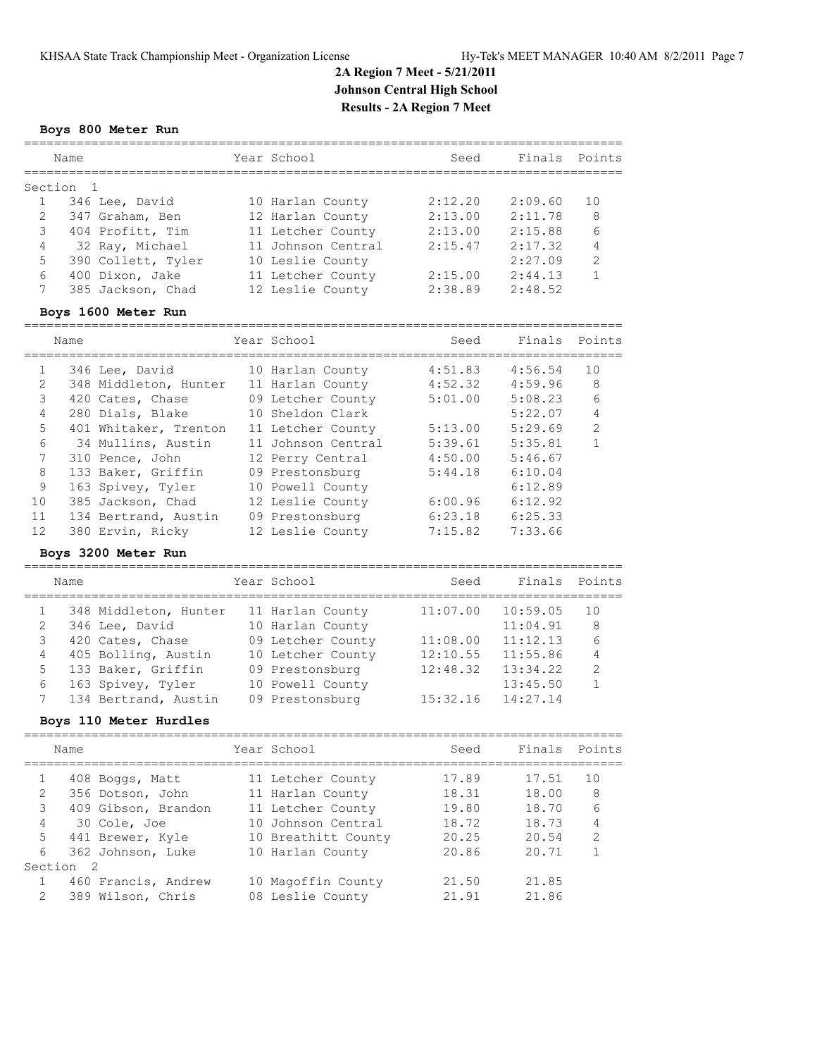## **Boys 800 Meter Run**

|         | Name               | Year School        | Seed    | Finals Points |                |
|---------|--------------------|--------------------|---------|---------------|----------------|
| Section |                    |                    |         |               |                |
|         | 346 Lee, David     | 10 Harlan County   | 2:12.20 | 2:09.60       | 1 O            |
| 2       | 347 Graham, Ben    | 12 Harlan County   | 2:13.00 | 2:11.78       | 8              |
| 3       | 404 Profitt, Tim   | 11 Letcher County  | 2:13.00 | 2:15.88       | 6              |
| 4       | 32 Ray, Michael    | 11 Johnson Central | 2:15.47 | 2:17.32       | 4              |
| 5       | 390 Collett, Tyler | 10 Leslie County   |         | 2:27.09       | $\overline{2}$ |
| 6       | 400 Dixon, Jake    | 11 Letcher County  | 2:15.00 | 2:44.13       | 1              |
| 7       | 385 Jackson, Chad  | 12 Leslie County   | 2:38.89 | 2:48.52       |                |

## **Boys 1600 Meter Run**

================================================================================

|                | Name |                       | Year School        | Seed    | Finals  | Points         |
|----------------|------|-----------------------|--------------------|---------|---------|----------------|
|                |      | 346 Lee, David        | 10 Harlan County   | 4:51.83 | 4:56.54 | 10             |
| $\mathfrak{D}$ |      | 348 Middleton, Hunter | 11 Harlan County   | 4:52.32 | 4:59.96 | 8              |
| 3              |      | 420 Cates, Chase      | 09 Letcher County  | 5:01.00 | 5:08.23 | 6              |
| 4              |      | 280 Dials, Blake      | 10 Sheldon Clark   |         | 5:22.07 | 4              |
| 5              |      | 401 Whitaker, Trenton | 11 Letcher County  | 5:13.00 | 5:29.69 | $\overline{2}$ |
| 6              |      | 34 Mullins, Austin    | 11 Johnson Central | 5:39.61 | 5:35.81 | 1              |
| $7^{\circ}$    |      | 310 Pence, John       | 12 Perry Central   | 4:50.00 | 5:46.67 |                |
| 8              |      | 133 Baker, Griffin    | 09 Prestonsburg    | 5:44.18 | 6:10.04 |                |
| 9              |      | 163 Spivey, Tyler     | 10 Powell County   |         | 6:12.89 |                |
| 10             |      | 385 Jackson, Chad     | 12 Leslie County   | 6:00.96 | 6:12.92 |                |
| 11             |      | 134 Bertrand, Austin  | 09 Prestonsburg    | 6:23.18 | 6:25.33 |                |
| 12             |      | 380 Ervin, Ricky      | 12 Leslie County   | 7:15.82 | 7:33.66 |                |
|                |      |                       |                    |         |         |                |

### **Boys 3200 Meter Run**

================================================================================

|   | Name |                       | Year School       | Seed     | Finals Points |              |
|---|------|-----------------------|-------------------|----------|---------------|--------------|
|   |      | 348 Middleton, Hunter | 11 Harlan County  | 11:07.00 | 10:59.05      | 10           |
|   |      | 346 Lee, David        | 10 Harlan County  |          | 11:04.91      | 8            |
|   |      | 420 Cates, Chase      | 09 Letcher County | 11:08.00 | 11:12.13      | 6            |
|   |      | 405 Bolling, Austin   | 10 Letcher County | 12:10.55 | 11:55.86      | 4            |
| 5 |      | 133 Baker, Griffin    | 09 Prestonsburg   | 12:48.32 | 13:34.22      | 2            |
| 6 |      | 163 Spivey, Tyler     | 10 Powell County  |          | 13:45.50      | $\mathbf{1}$ |
|   |      | 134 Bertrand, Austin  | 09 Prestonsburg   | 15:32.16 | 14:27.14      |              |
|   |      |                       |                   |          |               |              |

### **Boys 110 Meter Hurdles**

|                | Name                | Year School         | Seed  | Finals Points |                |
|----------------|---------------------|---------------------|-------|---------------|----------------|
|                | 408 Boggs, Matt     | 11 Letcher County   | 17.89 | 17.51         | 10             |
| $\overline{2}$ | 356 Dotson, John    | 11 Harlan County    | 18.31 | 18.00         | 8              |
| 3              | 409 Gibson, Brandon | 11 Letcher County   | 19.80 | 18.70         | 6              |
| 4              | 30 Cole, Joe        | 10 Johnson Central  | 18.72 | 18.73         | 4              |
| 5              | 441 Brewer, Kyle    | 10 Breathitt County | 20.25 | 20.54         | $\overline{2}$ |
| 6              | 362 Johnson, Luke   | 10 Harlan County    | 20.86 | 20.71         |                |
| Section        | - 2                 |                     |       |               |                |
|                | 460 Francis, Andrew | 10 Magoffin County  | 21.50 | 21.85         |                |
| $\mathcal{L}$  | 389 Wilson, Chris   | 08 Leslie County    | 21.91 | 21.86         |                |
|                |                     |                     |       |               |                |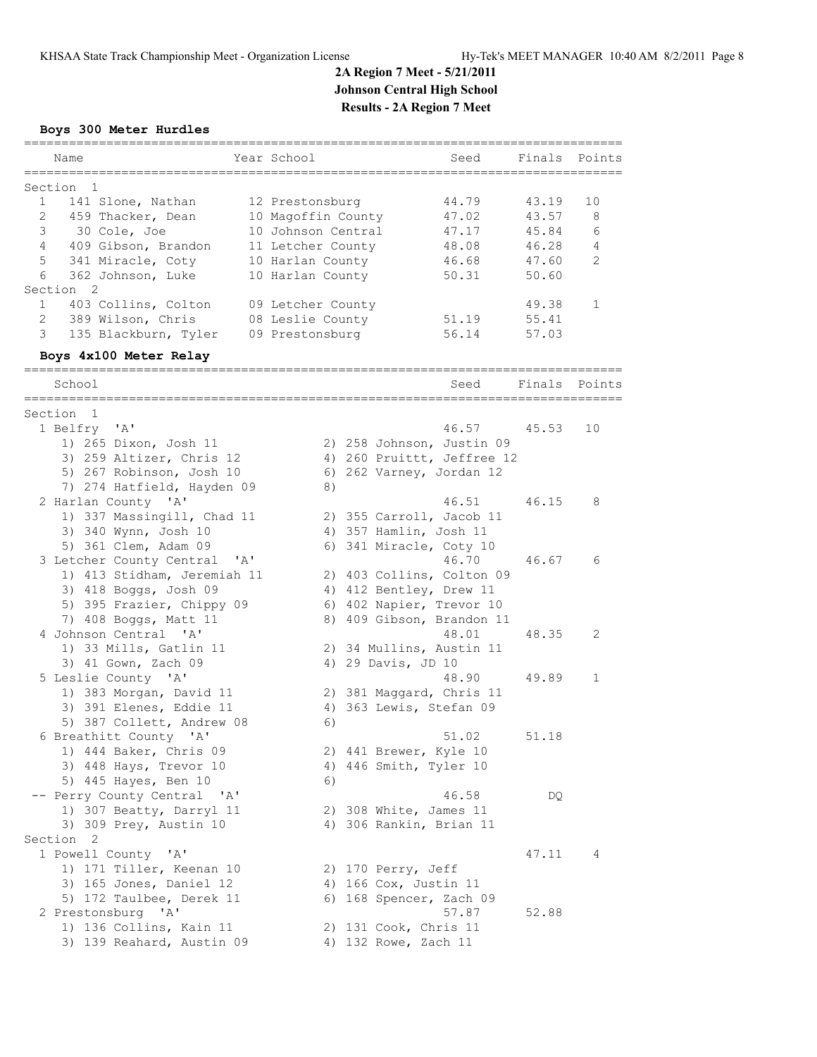## **Boys 300 Meter Hurdles**

| Name                                                     |    | Year School                           | ======================================<br>Seed         | Finals         | Points |
|----------------------------------------------------------|----|---------------------------------------|--------------------------------------------------------|----------------|--------|
|                                                          |    |                                       |                                                        |                |        |
| Section 1<br>$\mathbf{1}$                                |    |                                       | 44.79                                                  |                | 10     |
| 141 Slone, Nathan<br>$\overline{c}$<br>459 Thacker, Dean |    | 12 Prestonsburg<br>10 Magoffin County | 47.02                                                  | 43.19<br>43.57 | 8      |
| 3<br>30 Cole, Joe                                        |    | 10 Johnson Central                    | 47.17                                                  | 45.84          | 6      |
| 409 Gibson, Brandon<br>4                                 |    | 11 Letcher County                     | 48.08                                                  | 46.28          | 4      |
| 5<br>341 Miracle, Coty                                   |    | 10 Harlan County                      | 46.68                                                  | 47.60          | 2      |
| 362 Johnson, Luke<br>6                                   |    | 10 Harlan County                      | 50.31                                                  | 50.60          |        |
| Section <sub>2</sub>                                     |    |                                       |                                                        |                |        |
| $\mathbf{1}$<br>403 Collins, Colton                      |    | 09 Letcher County                     |                                                        | 49.38          | 1      |
| $\overline{2}$<br>389 Wilson, Chris                      |    | 08 Leslie County                      | 51.19                                                  | 55.41          |        |
| 3<br>135 Blackburn, Tyler                                |    | 09 Prestonsburg                       | 56.14                                                  | 57.03          |        |
| Boys 4x100 Meter Relay                                   |    |                                       |                                                        |                |        |
| School                                                   |    |                                       | Seed                                                   | Finals         | Points |
|                                                          |    |                                       |                                                        |                |        |
| Section 1                                                |    |                                       |                                                        |                |        |
| 1 Belfry 'A'                                             |    |                                       | 46.57                                                  | 45.53          | 10     |
| 1) 265 Dixon, Josh 11                                    |    |                                       | 2) 258 Johnson, Justin 09                              |                |        |
| 3) 259 Altizer, Chris 12<br>5) 267 Robinson, Josh 10     |    |                                       | 4) 260 Pruittt, Jeffree 12<br>6) 262 Varney, Jordan 12 |                |        |
| 7) 274 Hatfield, Hayden 09                               |    | 8)                                    |                                                        |                |        |
| 2 Harlan County 'A'                                      |    |                                       | 46.51                                                  | 46.15          | 8      |
| 1) 337 Massingill, Chad 11                               |    |                                       | 2) 355 Carroll, Jacob 11                               |                |        |
| 3) 340 Wynn, Josh 10                                     |    |                                       | 4) 357 Hamlin, Josh 11                                 |                |        |
| 5) 361 Clem, Adam 09                                     |    |                                       | 6) 341 Miracle, Coty 10                                |                |        |
| 3 Letcher County Central                                 | A' |                                       | 46.70                                                  | 46.67          | 6      |
| 1) 413 Stidham, Jeremiah 11                              |    |                                       | 2) 403 Collins, Colton 09                              |                |        |
| 3) 418 Boggs, Josh 09                                    |    |                                       | 4) 412 Bentley, Drew 11                                |                |        |
| 5) 395 Frazier, Chippy 09                                |    |                                       | 6) 402 Napier, Trevor 10                               |                |        |
| 7) 408 Boggs, Matt 11                                    |    |                                       | 8) 409 Gibson, Brandon 11                              |                |        |
| 4 Johnson Central 'A'                                    |    |                                       | 48.01                                                  | 48.35          | 2      |
| 1) 33 Mills, Gatlin 11                                   |    |                                       | 2) 34 Mullins, Austin 11                               |                |        |
| 3) 41 Gown, Zach 09                                      |    |                                       | 4) 29 Davis, JD 10                                     |                |        |
| 5 Leslie County 'A'                                      |    |                                       | 48.90                                                  | 49.89          | 1      |
| 1) 383 Morgan, David 11                                  |    |                                       | 2) 381 Maggard, Chris 11                               |                |        |
| 3) 391 Elenes, Eddie 11                                  |    |                                       | 4) 363 Lewis, Stefan 09                                |                |        |
| 5) 387 Collett, Andrew 08                                |    | 6)                                    |                                                        |                |        |
| 6 Breathitt County 'A'                                   |    |                                       | 51.02                                                  | 51.18          |        |
| 1) 444 Baker, Chris 09                                   |    |                                       | 2) 441 Brewer, Kyle 10                                 |                |        |
| 3) 448 Hays, Trevor 10                                   |    |                                       | 4) 446 Smith, Tyler 10                                 |                |        |
| 5) 445 Hayes, Ben 10                                     |    | 6)                                    |                                                        |                |        |
| -- Perry County Central 'A'                              |    |                                       | 46.58                                                  | DQ             |        |
| 1) 307 Beatty, Darryl 11                                 |    |                                       | 2) 308 White, James 11                                 |                |        |
| 3) 309 Prey, Austin 10<br>Section 2                      |    |                                       | 4) 306 Rankin, Brian 11                                |                |        |
| 1 Powell County 'A'                                      |    |                                       |                                                        | 47.11          | 4      |
| 1) 171 Tiller, Keenan 10                                 |    |                                       | 2) 170 Perry, Jeff                                     |                |        |
| 3) 165 Jones, Daniel 12                                  |    |                                       | 4) 166 Cox, Justin 11                                  |                |        |
| 5) 172 Taulbee, Derek 11                                 |    |                                       | 6) 168 Spencer, Zach 09                                |                |        |
| 2 Prestonsburg 'A'                                       |    |                                       | 57.87                                                  | 52.88          |        |
| 1) 136 Collins, Kain 11                                  |    |                                       | 2) 131 Cook, Chris 11                                  |                |        |
| 3) 139 Reahard, Austin 09                                |    |                                       | 4) 132 Rowe, Zach 11                                   |                |        |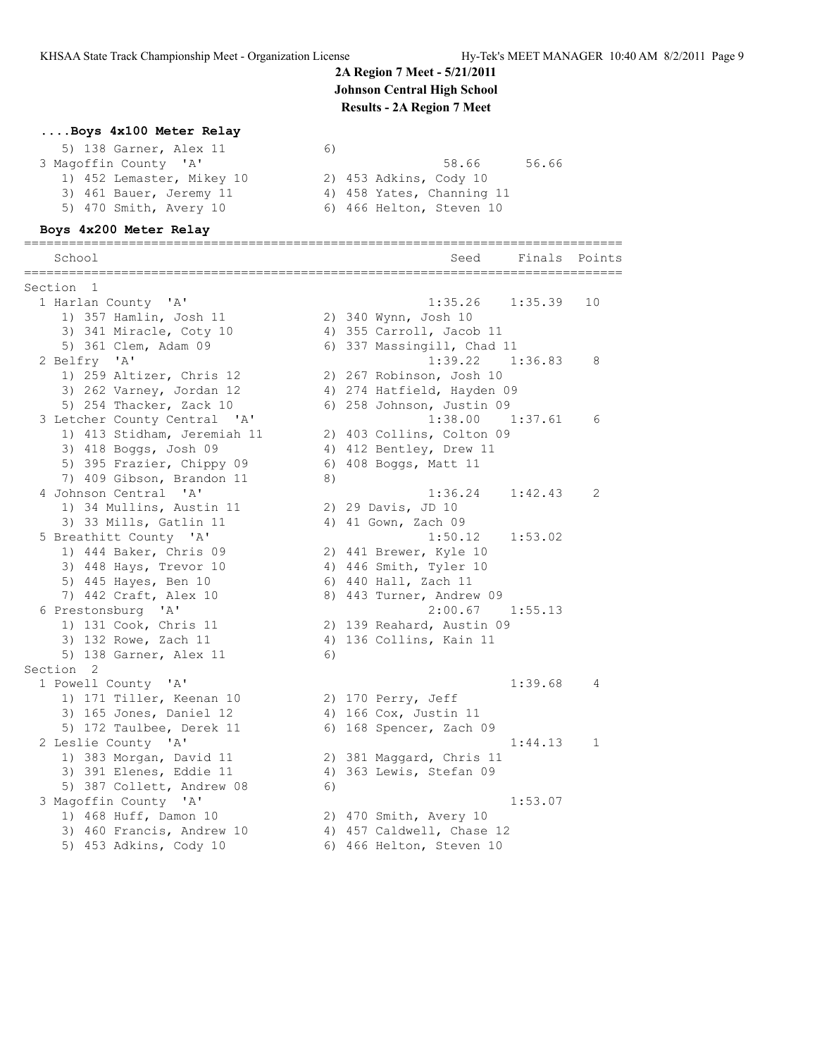### **....Boys 4x100 Meter Relay**

| 5) 138 Garner, Alex 11    | 6)                        |
|---------------------------|---------------------------|
| 3 Magoffin County 'A'     | 56.66<br>58.66            |
| 1) 452 Lemaster, Mikey 10 | 2) 453 Adkins, Cody 10    |
| 3) 461 Bauer, Jeremy 11   | 4) 458 Yates, Channing 11 |
| 5) 470 Smith, Avery 10    | 6) 466 Helton, Steven 10  |

#### **Boys 4x200 Meter Relay**

================================================================================ School Seed Finals Points ================================================================================ Section 1<br>1 Harlan County 'A' 1 Harlan County 'A' 1:35.26 1:35.39 10 1) 357 Hamlin, Josh 11 2) 340 Wynn, Josh 10 3) 341 Miracle, Coty 10 4) 355 Carroll, Jacob 11 5) 361 Clem, Adam 09 6) 337 Massingill, Chad 11 2 Belfry 'A' 1:39.22 1:36.83 8 1) 259 Altizer, Chris 12 2) 267 Robinson, Josh 10 3) 262 Varney, Jordan 12 4) 274 Hatfield, Hayden 09 5) 254 Thacker, Zack 10 6) 258 Johnson, Justin 09 3 Letcher County Central 'A' 1:38.00 1:37.61 6 1) 413 Stidham, Jeremiah 11 2) 403 Collins, Colton 09 3) 418 Boggs, Josh 09 4) 412 Bentley, Drew 11 5) 395 Frazier, Chippy 09 6) 408 Boggs, Matt 11 7) 409 Gibson, Brandon 11 (8) 4 Johnson Central 'A' 1:36.24 1:42.43 2 1) 34 Mullins, Austin 11 2) 29 Davis, JD 10 3) 33 Mills, Gatlin 11 4) 41 Gown, Zach 09 5 Breathitt County 'A' 1:50.12 1:53.02 1) 444 Baker, Chris 09 2) 441 Brewer, Kyle 10 3) 448 Hays, Trevor 10 4) 446 Smith, Tyler 10 5) 445 Hayes, Ben 10 6) 440 Hall, Zach 11 7) 442 Craft, Alex 10 8) 443 Turner, Andrew 09 6 Prestonsburg 'A' 2:00.67 1:55.13 1) 131 Cook, Chris 11 2) 139 Reahard, Austin 09 3) 132 Rowe, Zach 11 4) 136 Collins, Kain 11 5) 138 Garner, Alex 11 6) Section 2 1 Powell County 'A' 1:39.68 4 1) 171 Tiller, Keenan 10 2) 170 Perry, Jeff 3) 165 Jones, Daniel 12 4) 166 Cox, Justin 11 5) 172 Taulbee, Derek 11 6) 168 Spencer, Zach 09 2 Leslie County 'A' 1:44.13 1 1) 383 Morgan, David 11 2) 381 Maggard, Chris 11 3) 391 Elenes, Eddie 11 4) 363 Lewis, Stefan 09 5) 387 Collett, Andrew 08 6) 3 Magoffin County 'A' 1:53.07 1) 468 Huff, Damon 10 2) 470 Smith, Avery 10 3) 460 Francis, Andrew 10 4) 457 Caldwell, Chase 12 5) 453 Adkins, Cody 10 (6) 466 Helton, Steven 10